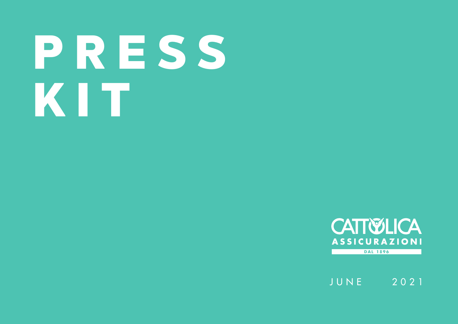# P R E S S KIT



JUNE 2021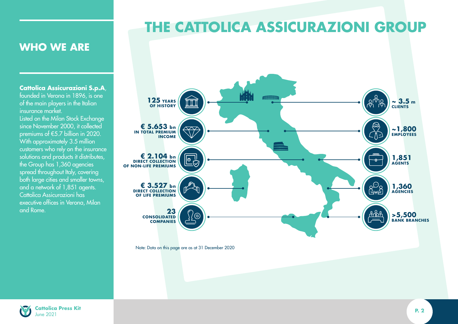# **THE CATTOLICA ASSICURAZIONI GROUP**

## **WHO WE ARE**

**Cattolica Assicurazioni S.p.A**, founded in Verona in 1896, is one of the main players in the Italian insurance market.

Listed on the Milan Stock Exchange since November 2000, it collected premiums of €5.7 billion in 2020. With approximately 3.5 million customers who rely on the insurance solutions and products it distributes, the Group has 1,360 agencies spread throughout Italy, covering both large cities and smaller towns, and a network of 1,851 agents. Cattolica Assicurazioni has executive offices in Verona, Milan and Rome.



![](_page_1_Picture_5.jpeg)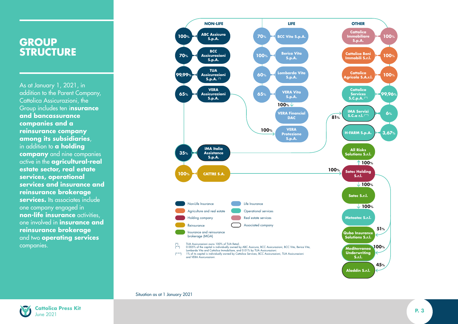## **GROUP STRUCTURE**

As at January 1, 2021, in addition to the Parent Company, Cattolica Assicurazioni, the Group includes ten i**nsurance and bancassurance companies and a reinsurance company among its subsidiaries**, in addition to **a holding company** and nine companies active in the **agricultural-real estate sector, real estate services, operational services and insurance and reinsurance brokerage services.** Its associates include one company engaged in **non-life insurance** activities, one involved in **insurance and reinsurance brokerage** and two **operating services** companies.

![](_page_2_Figure_2.jpeg)

#### Situation as at 1 January 2021

![](_page_2_Picture_4.jpeg)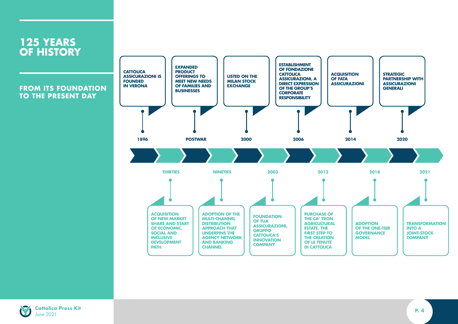![](_page_3_Figure_0.jpeg)

![](_page_3_Picture_1.jpeg)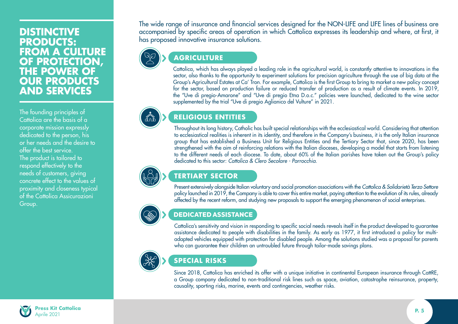## **DISTINCTIVE PRODUCTS: FROM A CULTURE OF PROTECTION, THE POWER OF OUR PRODUCTS AND SERVICES**

The founding principles of Cattolica are the basis of a corporate mission expressly dedicated to the person, his or her needs and the desire to offer the best service. The product is tailored to respond effectively to the needs of customers, giving concrete effect to the values of proximity and closeness typical of the Cattolica Assicurazioni Group.

The wide range of insurance and financial services designed for the NON-LIFE and LIFE lines of business are accompanied by specific areas of operation in which Cattolica expresses its leadership and where, at first, it has proposed innovative insurance solutions.

## **AGRICULTURE**

Cattolica, which has always played a leading role in the agricultural world, is constantly attentive to innovations in the sector, also thanks to the opportunity to experiment solutions for precision agriculture through the use of big data at the Group's Agricultural Estates at Ca' Tron. For example, Cattolica is the first Group to bring to market a new policy concept for the sector, based on production failure or reduced transfer of production as a result of climate events. In 2019, the "Uve di pregio-Amarone" and "Uve di pregio Etna D.o.c." policies were launched, dedicated to the wine sector supplemented by the trial "Uve di pregio Aglianico del Vulture" in 2021.

## **RELIGIOUS ENTITIES**

Throughout its long history, Catholic has built special relationships with the ecclesiastical world. Considering that attention to ecclesiastical realities is inherent in its identity, and therefore in the Company's business, it is the only Italian insurance group that has established a Business Unit for Religious Entities and the Tertiary Sector that, since 2020, has been strengthened with the aim of reinforcing relations with the Italian dioceses, developing a model that starts from listening to the different needs of each diocese. To date, about 60% of the Italian parishes have taken out the Group's policy dedicated to this sector: *Cattolica & Clero Secolare - Parrocchia*.

### **TERTIARY SECTOR**

Present extensively alongside Italian voluntary and social promotion associations with the *Cattolica & Solidarietà Terzo Settore*  policy launched in 2019, the Company is able to cover this entire market, paying attention to the evolution of its rules, already affected by the recent reform, and studying new proposals to support the emerging phenomenon of social enterprises.

## DEDICATED ASSISTANCE

Cattolica's sensitivity and vision in responding to specific social needs reveals itself in the product developed to guarantee assistance dedicated to people with disabilities in the family. As early as 1977, it first introduced a policy for multiadapted vehicles equipped with protection for disabled people. Among the solutions studied was a proposal for parents who can guarantee their children an untroubled future through tailor-made savings plans.

![](_page_4_Picture_11.jpeg)

## **SPECIAL RISKS**

Since 2018, Cattolica has enriched its offer with a unique initiative in continental European insurance through CattRE, a Group company dedicated to non-traditional risk lines such as space, aviation, catastrophe reinsurance, property, causality, sporting risks, marine, events and contingencies, weather risks.

![](_page_4_Picture_14.jpeg)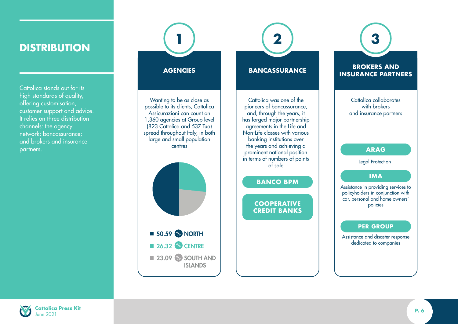## **DISTRIBUTION**

Cattolica stands out for its high standards of quality, offering customisation, customer support and advice. It relies on three distribution channels: the agency network; bancassurance; and brokers and insurance partners.

#### **AGENCIES**

**1**

Wanting to be as close as possible to its clients, Cattolica Assicurazioni can count on 1,360 agencies at Group level (823 Cattolica and 537 Tua) spread throughout Italy, in both large and small population centres

![](_page_5_Figure_4.jpeg)

#### **BANCASSURANCE**

**2**

Cattolica was one of the pioneers of bancassurance, and, through the years, it has forged major partnership agreements in the Life and Non-Life classes with various banking institutions over the years and achieving a prominent national position in terms of numbers of points of sale

#### **BANCO BPM**

**COOPERATIVE CREDIT BANKS**

## **BROKERS AND INSURANCE PARTNERS**

**3**

Cattolica collaborates with **brokers** and insurance partners

#### **ARAG**

Legal Protection

#### **IMA**

Assistance in providing services to policyholders in conjunction with car, personal and home owners' policies

#### **PER GROUP**

Assistance and disaster response dedicated to companies

![](_page_5_Picture_17.jpeg)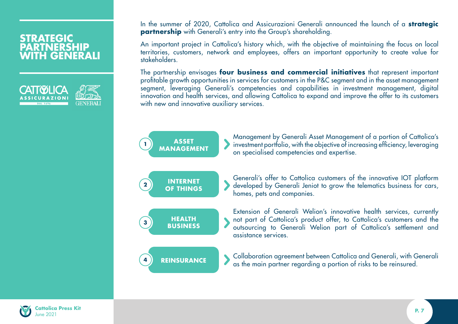## **STRATEGIC PARTNERSHIP WITH GENERALI**

![](_page_6_Picture_1.jpeg)

In the summer of 2020, Cattolica and Assicurazioni Generali announced the launch of a **strategic partnership** with Generali's entry into the Group's shareholding.

An important project in Cattolica's history which, with the objective of maintaining the focus on local territories, customers, network and employees, offers an important opportunity to create value for stakeholders.

The partnership envisages **four business and commercial initiatives** that represent important profi table growth opportunities in services for customers in the P&C segment and in the asset management segment, leveraging Generali's competencies and capabilities in investment management, digital innovation and health services, and allowing Cattolica to expand and improve the offer to its customers with new and innovative auxiliary services.

![](_page_6_Figure_5.jpeg)

![](_page_6_Picture_6.jpeg)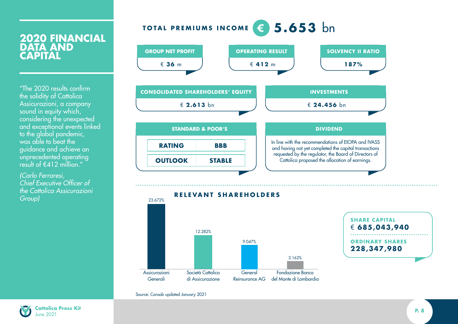## **TOTAL PREMIUMS INCOME 5.653** bn

## **2020 FINANCIAL DATA AND CAPITAL**

"The 2020 results confirm the solidity of Cattolica Assicurazioni, a company sound in equity which, considering the unexpected and exceptional events linked to the global pandemic, was able to beat the guidance and achieve an unprecedented operating result of  $f(412)$  million."

*(Carlo Ferraresi, Chief Executive Officer of the Cattolica Assicurazioni* 

![](_page_7_Figure_4.jpeg)

![](_page_7_Figure_5.jpeg)

![](_page_7_Figure_6.jpeg)

Source: Consob updated January 2021

![](_page_7_Picture_8.jpeg)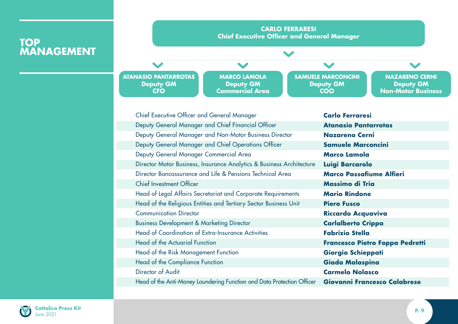## **TOP MANAGEMENT**

![](_page_8_Figure_1.jpeg)

ш.

| <b>Chief Executive Officer and General Manager</b>                     | <b>Carlo Ferraresi</b>              |
|------------------------------------------------------------------------|-------------------------------------|
| Deputy General Manager and Chief Financial Officer                     | <b>Atanasio Pantarrotas</b>         |
| Deputy General Manager and Non-Motor Business Director                 | <b>Nazareno Cerni</b>               |
| Deputy General Manager and Chief Operations Officer                    | <b>Samuele Marconcini</b>           |
| Deputy General Manager Commercial Area                                 | <b>Marco Lamola</b>                 |
| Director Motor Business, Insurance Analytics & Business Architecture   | Luigi Barcarolo                     |
| Director Bancassurance and Life & Pensions Technical Area              | <b>Marco Passafiume Alfieri</b>     |
| <b>Chief Investment Officer</b>                                        | Massimo di Tria                     |
| Head of Legal Affairs Secretariat and Corporate Requirements           | <b>Mario Rindone</b>                |
| Head of the Religious Entities and Tertiary Sector Business Unit       | <b>Piero Fusco</b>                  |
| <b>Communication Director</b>                                          | <b>Riccardo Acquaviva</b>           |
| <b>Business Development &amp; Marketing Director</b>                   | <b>Carlalberto Crippa</b>           |
| <b>Head of Coordination of Extra-Insurance Activities</b>              | <b>Fabrizio Stella</b>              |
| Head of the Actuarial Function                                         | Francesco Pietro Foppa Pedretti     |
| Head of the Risk Management Function                                   | Giorgio Schieppati                  |
| Head of the Compliance Function                                        | Giada Malaspina                     |
| Director of Audit                                                      | <b>Carmelo Nolasco</b>              |
| Head of the Anti-Money Laundering Function and Data Protection Officer | <b>Giovanni Francesco Calabrese</b> |
|                                                                        |                                     |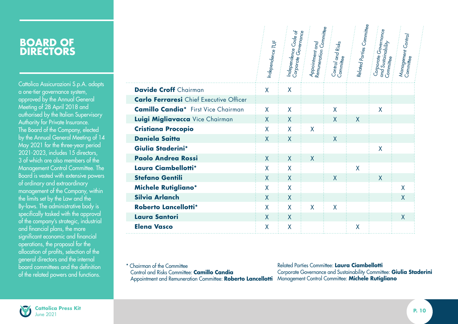Cattolica Assicurazioni S.p.A. adopts a one-tier governance system, approved by the Annual General Meeting of 28 April 2018 and authorised by the Italian Supervisory Authority for Private Insurance. The Board of the Company, elected by the Annual General Meeting of 14 May 2021 for the three-year period 2021-2023, includes 15 directors, 3 of which are also members of the Management Control Committee. The Board is vested with extensive powers of ordinary and extraordinary management of the Company, within the limits set by the Law and the By-laws. The administrative body is specifically tasked with the approval of the company's strategic, industrial and financial plans, the more significant economic and financial operations, the proposal for the allocation of profits, selection of the general directors and the internal board committees and the definition of the related powers and functions.

|                                                | Independence TUF | Independence Code of<br>Corporate Governance | Remuneration Committee<br>Appointment and | Control and Risks<br>Committee | Related Parties Committee | Corporate Governance<br>and <sup>'</sup> Sustainability<br>Committee | Management Control<br>Committee |
|------------------------------------------------|------------------|----------------------------------------------|-------------------------------------------|--------------------------------|---------------------------|----------------------------------------------------------------------|---------------------------------|
| <b>Davide Croff</b> Chairman                   | X                | X                                            |                                           |                                |                           |                                                                      |                                 |
| <b>Carlo Ferraresi</b> Chief Executive Officer |                  |                                              |                                           |                                |                           |                                                                      |                                 |
| <b>Camillo Candia*</b> First Vice Chairman     | X                | X                                            |                                           | X                              |                           | X                                                                    |                                 |
| Luigi Migliavacca Vice Chairman                | $\mathsf{X}$     | $\mathsf{X}$                                 |                                           | $\overline{X}$                 | $\mathsf{X}$              |                                                                      |                                 |
| <b>Cristiana Procopio</b>                      | X                | X                                            | X                                         |                                |                           |                                                                      |                                 |
| <b>Daniela Saitta</b>                          | X                | X                                            |                                           | $\mathsf{X}$                   |                           |                                                                      |                                 |
| Giulia Staderini*                              |                  |                                              |                                           |                                |                           | X                                                                    |                                 |
| <b>Paolo Andrea Rossi</b>                      | X                | X                                            | X                                         |                                |                           |                                                                      |                                 |
| Laura Ciambellotti*                            | X                | X                                            |                                           |                                | X                         |                                                                      |                                 |
| <b>Stefano Gentili</b>                         | X                | $\sf X$                                      |                                           | $\mathsf{X}$                   |                           | $\overline{\mathsf{X}}$                                              |                                 |
| <b>Michele Rutigliano*</b>                     | X                | X                                            |                                           |                                |                           |                                                                      | X                               |
| <b>Silvia Arlanch</b>                          | $\mathsf{X}$     | $\sf X$                                      |                                           |                                |                           |                                                                      | X                               |
| Roberto Lancellotti*                           | X                | X                                            | X                                         | X                              |                           |                                                                      |                                 |
| <b>Laura Santori</b>                           | X                | X                                            |                                           |                                |                           |                                                                      | X                               |
| <b>Elena Vasco</b>                             | X                | X                                            |                                           |                                | X                         |                                                                      |                                 |

\* Chairman of the Committee Control and Risks Committee: **Camillo Candia**

 Appointment and Remuneration Committee: **Roberto Lancellotti** Management Control Committee: **Michele Rutigliano** Related Parties Committee: **Laura Ciambellotti** Corporate Governance and Sustainability Committee: **Giulia Staderini**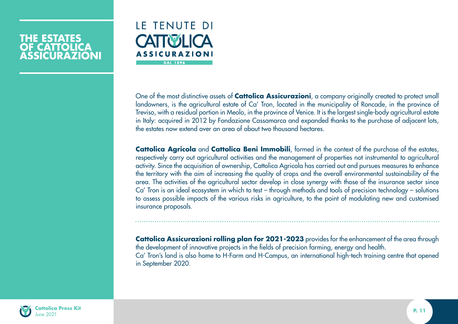## **THE ESTATES OF CATTOLICA ASSICURAZIONI**

![](_page_10_Picture_1.jpeg)

One of the most distinctive assets of **Cattolica Assicurazioni**, a company originally created to protect small landowners, is the agricultural estate of Ca' Tron, located in the municipality of Roncade, in the province of Treviso, with a residual portion in Meolo, in the province of Venice. It is the largest single-body agricultural estate in Italy: acquired in 2012 by Fondazione Cassamarca and expanded thanks to the purchase of adjacent lots, the estates now extend over an area of about two thousand hectares.

**Cattolica Agricola** and **Cattolica Beni Immobili**, formed in the context of the purchase of the estates, respectively carry out agricultural activities and the management of properties not instrumental to agricultural activity. Since the acquisition of ownership, Cattolica Agricola has carried out and pursues measures to enhance the territory with the aim of increasing the quality of crops and the overall environmental sustainability of the area. The activities of the agricultural sector develop in close synergy with those of the insurance sector since Ca' Tron is an ideal ecosystem in which to test – through methods and tools of precision technology – solutions to assess possible impacts of the various risks in agriculture, to the point of modulating new and customised insurance proposals.

**Cattolica Assicurazioni rolling plan for 2021-2023** provides for the enhancement of the area through the development of innovative projects in the fields of precision farming, energy and health. Ca' Tron's land is also home to H-Farm and H-Campus, an international high-tech training centre that opened in September 2020.

![](_page_10_Picture_5.jpeg)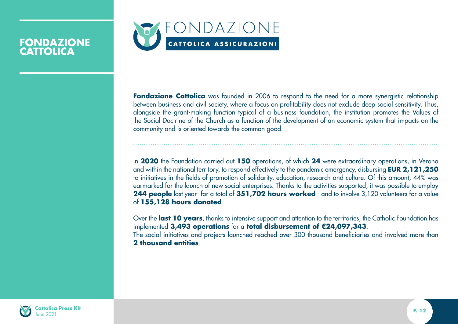![](_page_11_Picture_0.jpeg)

## **FONDAZIONE CATTOLICA**

**Fondazione Cattolica** was founded in 2006 to respond to the need for a more synergistic relationship between business and civil society, where a focus on profitability does not exclude deep social sensitivity. Thus, alongside the grant-making function typical of a business foundation, the institution promotes the Values of the Social Doctrine of the Church as a function of the development of an economic system that impacts on the community and is oriented towards the common good.

In **2020** the Foundation carried out **150** operations, of which **24** were extraordinary operations, in Verona and within the national territory, to respond effectively to the pandemic emergency, disbursing **EUR 2,121,250** to initiatives in the fields of promotion of solidarity, education, research and culture. Of this amount, 44% was earmarked for the launch of new social enterprises. Thanks to the activities supported, it was possible to employ **244 people** last year- for a total of **351,702 hours worked** - and to involve 3,120 volunteers for a value of **155,128 hours donated**.

Over the **last 10 years**, thanks to intensive support and attention to the territories, the Catholic Foundation has implemented **3,493 operations** for a **total disbursement of €24,097,343**. The social initiatives and projects launched reached over 300 thousand beneficiaries and involved more than **2 thousand entities**.

![](_page_11_Picture_5.jpeg)